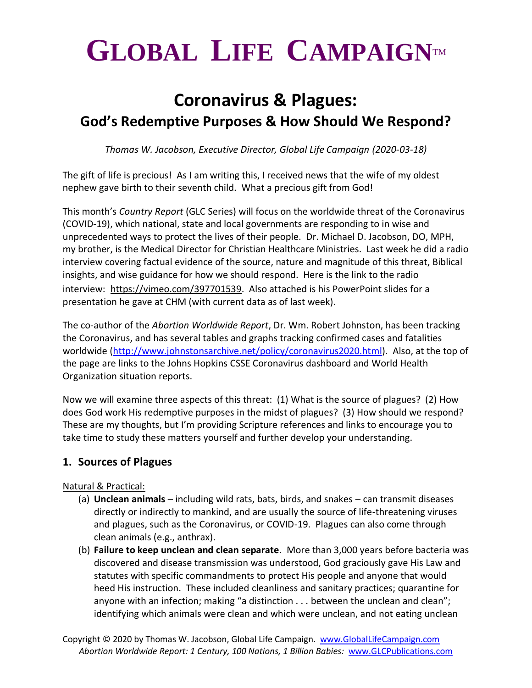# $GLOBAL$  LIFE CAMPAIGNTM

## **Coronavirus & Plagues: God's Redemptive Purposes & How Should We Respond?**

*Thomas W. Jacobson, Executive Director, Global Life Campaign (2020-03-18)*

The gift of life is precious! As I am writing this, I received news that the wife of my oldest nephew gave birth to their seventh child. What a precious gift from God!

This month's *Country Report* (GLC Series) will focus on the worldwide threat of the Coronavirus (COVID-19), which national, state and local governments are responding to in wise and unprecedented ways to protect the lives of their people. Dr. Michael D. Jacobson, DO, MPH, my brother, is the Medical Director for Christian Healthcare Ministries. Last week he did a radio interview covering factual evidence of the source, nature and magnitude of this threat, Biblical insights, and wise guidance for how we should respond. Here is the link to the radio interview: [https://vimeo.com/397701539.](https://vimeo.com/397701539) Also attached is his PowerPoint slides for a presentation he gave at CHM (with current data as of last week).

The co-author of the *Abortion Worldwide Report*, Dr. Wm. Robert Johnston, has been tracking the Coronavirus, and has several tables and graphs tracking confirmed cases and fatalities worldwide [\(http://www.johnstonsarchive.net/policy/coronavirus2020.html\)](http://www.johnstonsarchive.net/policy/coronavirus2020.html). Also, at the top of the page are links to the Johns Hopkins CSSE Coronavirus dashboard and World Health Organization situation reports.

Now we will examine three aspects of this threat: (1) What is the source of plagues? (2) How does God work His redemptive purposes in the midst of plagues? (3) How should we respond? These are my thoughts, but I'm providing Scripture references and links to encourage you to take time to study these matters yourself and further develop your understanding.

### **1. Sources of Plagues**

#### Natural & Practical:

- (a) **Unclean animals** including wild rats, bats, birds, and snakes can transmit diseases directly or indirectly to mankind, and are usually the source of life-threatening viruses and plagues, such as the Coronavirus, or COVID-19. Plagues can also come through clean animals (e.g., anthrax).
- (b) **Failure to keep unclean and clean separate**. More than 3,000 years before bacteria was discovered and disease transmission was understood, God graciously gave His Law and statutes with specific commandments to protect His people and anyone that would heed His instruction. These included cleanliness and sanitary practices; quarantine for anyone with an infection; making "a distinction . . . between the unclean and clean"; identifying which animals were clean and which were unclean, and not eating unclean

Copyright © 2020 by Thomas W. Jacobson, Global Life Campaign. [www.GlobalLifeCampaign.com](http://www.globallifecampaign.com/) *Abortion Worldwide Report: 1 Century, 100 Nations, 1 Billion Babies:* [www.GLCPublications.com](http://www.glcpublications.com/)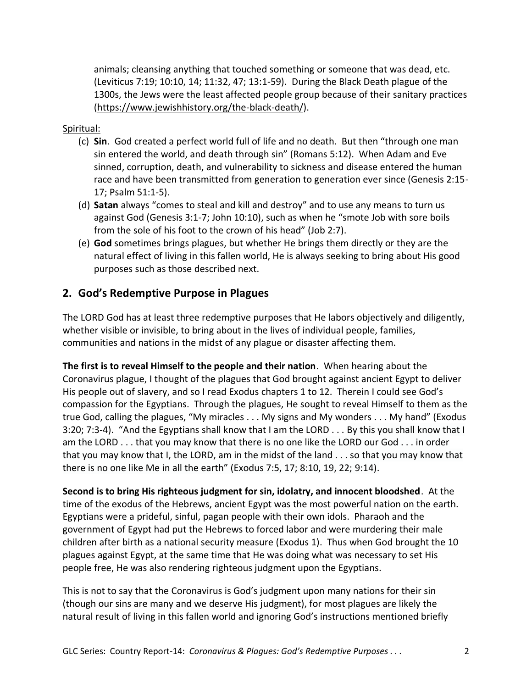animals; cleansing anything that touched something or someone that was dead, etc. (Leviticus 7:19; 10:10, 14; 11:32, 47; 13:1-59). During the Black Death plague of the 1300s, the Jews were the least affected people group because of their sanitary practices [\(https://www.jewishhistory.org/the-black-death/\)](https://www.jewishhistory.org/the-black-death/).

#### Spiritual:

- (c) **Sin**. God created a perfect world full of life and no death. But then "through one man sin entered the world, and death through sin" (Romans 5:12). When Adam and Eve sinned, corruption, death, and vulnerability to sickness and disease entered the human race and have been transmitted from generation to generation ever since (Genesis 2:15- 17; Psalm 51:1-5).
- (d) **Satan** always "comes to steal and kill and destroy" and to use any means to turn us against God (Genesis 3:1-7; John 10:10), such as when he "smote Job with sore boils from the sole of his foot to the crown of his head" (Job 2:7).
- (e) **God** sometimes brings plagues, but whether He brings them directly or they are the natural effect of living in this fallen world, He is always seeking to bring about His good purposes such as those described next.

#### **2. God's Redemptive Purpose in Plagues**

The LORD God has at least three redemptive purposes that He labors objectively and diligently, whether visible or invisible, to bring about in the lives of individual people, families, communities and nations in the midst of any plague or disaster affecting them.

**The first is to reveal Himself to the people and their nation**. When hearing about the Coronavirus plague, I thought of the plagues that God brought against ancient Egypt to deliver His people out of slavery, and so I read Exodus chapters 1 to 12. Therein I could see God's compassion for the Egyptians. Through the plagues, He sought to reveal Himself to them as the true God, calling the plagues, "My miracles . . . My signs and My wonders . . . My hand" (Exodus 3:20; 7:3-4). "And the Egyptians shall know that I am the LORD . . . By this you shall know that I am the LORD . . . that you may know that there is no one like the LORD our God . . . in order that you may know that I, the LORD, am in the midst of the land . . . so that you may know that there is no one like Me in all the earth" (Exodus 7:5, 17; 8:10, 19, 22; 9:14).

**Second is to bring His righteous judgment for sin, idolatry, and innocent bloodshed**. At the time of the exodus of the Hebrews, ancient Egypt was the most powerful nation on the earth. Egyptians were a prideful, sinful, pagan people with their own idols. Pharaoh and the government of Egypt had put the Hebrews to forced labor and were murdering their male children after birth as a national security measure (Exodus 1). Thus when God brought the 10 plagues against Egypt, at the same time that He was doing what was necessary to set His people free, He was also rendering righteous judgment upon the Egyptians.

This is not to say that the Coronavirus is God's judgment upon many nations for their sin (though our sins are many and we deserve His judgment), for most plagues are likely the natural result of living in this fallen world and ignoring God's instructions mentioned briefly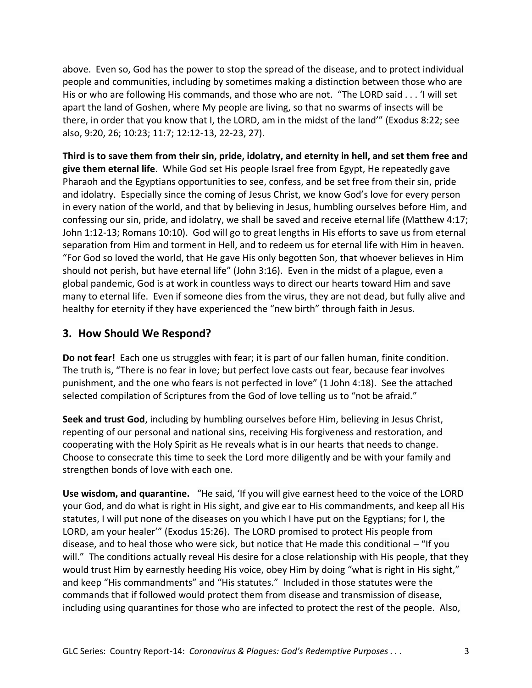above. Even so, God has the power to stop the spread of the disease, and to protect individual people and communities, including by sometimes making a distinction between those who are His or who are following His commands, and those who are not. "The LORD said . . . 'I will set apart the land of Goshen, where My people are living, so that no swarms of insects will be there, in order that you know that I, the LORD, am in the midst of the land'" (Exodus 8:22; see also, 9:20, 26; 10:23; 11:7; 12:12-13, 22-23, 27).

**Third is to save them from their sin, pride, idolatry, and eternity in hell, and set them free and give them eternal life**. While God set His people Israel free from Egypt, He repeatedly gave Pharaoh and the Egyptians opportunities to see, confess, and be set free from their sin, pride and idolatry. Especially since the coming of Jesus Christ, we know God's love for every person in every nation of the world, and that by believing in Jesus, humbling ourselves before Him, and confessing our sin, pride, and idolatry, we shall be saved and receive eternal life (Matthew 4:17; John 1:12-13; Romans 10:10). God will go to great lengths in His efforts to save us from eternal separation from Him and torment in Hell, and to redeem us for eternal life with Him in heaven. "For God so loved the world, that He gave His only begotten Son, that whoever believes in Him should not perish, but have eternal life" (John 3:16). Even in the midst of a plague, even a global pandemic, God is at work in countless ways to direct our hearts toward Him and save many to eternal life. Even if someone dies from the virus, they are not dead, but fully alive and healthy for eternity if they have experienced the "new birth" through faith in Jesus.

#### **3. How Should We Respond?**

**Do not fear!** Each one us struggles with fear; it is part of our fallen human, finite condition. The truth is, "There is no fear in love; but perfect love casts out fear, because fear involves punishment, and the one who fears is not perfected in love" (1 John 4:18). See the attached selected compilation of Scriptures from the God of love telling us to "not be afraid."

**Seek and trust God**, including by humbling ourselves before Him, believing in Jesus Christ, repenting of our personal and national sins, receiving His forgiveness and restoration, and cooperating with the Holy Spirit as He reveals what is in our hearts that needs to change. Choose to consecrate this time to seek the Lord more diligently and be with your family and strengthen bonds of love with each one.

**Use wisdom, and quarantine.** "He said, 'If you will give earnest heed to the voice of the LORD your God, and do what is right in His sight, and give ear to His commandments, and keep all His statutes, I will put none of the diseases on you which I have put on the Egyptians; for I, the LORD, am your healer'" (Exodus 15:26). The LORD promised to protect His people from disease, and to heal those who were sick, but notice that He made this conditional – "If you will." The conditions actually reveal His desire for a close relationship with His people, that they would trust Him by earnestly heeding His voice, obey Him by doing "what is right in His sight," and keep "His commandments" and "His statutes." Included in those statutes were the commands that if followed would protect them from disease and transmission of disease, including using quarantines for those who are infected to protect the rest of the people. Also,